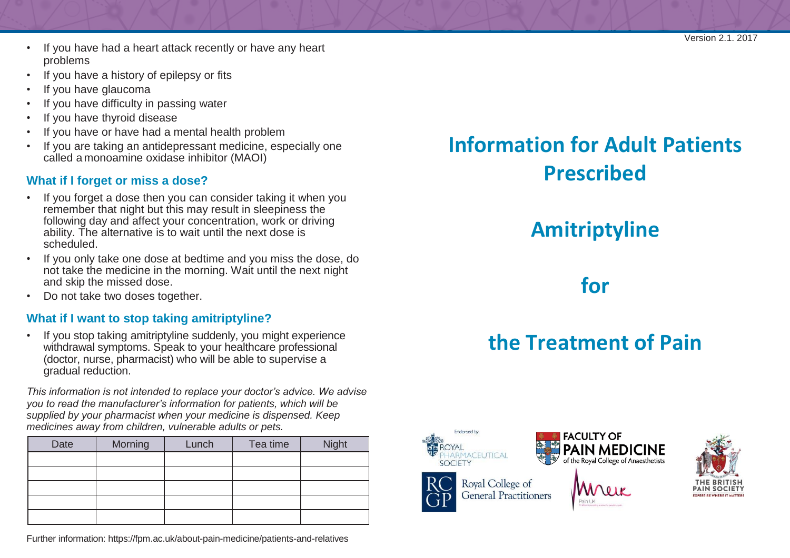- If you have had a heart attack recently or have any heart problems
- If you have a history of epilepsy or fits
- If you have glaucoma
- If you have difficulty in passing water
- If you have thyroid disease
- If you have or have had a mental health problem
- If you are taking an antidepressant medicine, especially one called a monoamine oxidase inhibitor (MAOI)

#### **What if I forget or miss a dose?**

- If you forget a dose then you can consider taking it when you remember that night but this may result in sleepiness the following day and affect your concentration, work or driving ability. The alternative is to wait until the next dose is scheduled.
- If you only take one dose at bedtime and you miss the dose, do not take the medicine in the morning. Wait until the next night and skip the missed dose.
- Do not take two doses together.

#### **What if I want to stop taking amitriptyline?**

• If you stop taking amitriptyline suddenly, you might experience withdrawal symptoms. Speak to your healthcare professional (doctor, nurse, pharmacist) who will be able to supervise a gradual reduction.

*This information is not intended to replace your doctor's advice. We advise you to read the manufacturer's information for patients, which will be supplied by your pharmacist when your medicine is dispensed. Keep medicines away from children, vulnerable adults or pets.*

| Date | Morning | Lunch | Tea time | <b>Night</b> |
|------|---------|-------|----------|--------------|
|      |         |       |          |              |
|      |         |       |          |              |
|      |         |       |          |              |
|      |         |       |          |              |
|      |         |       |          |              |

Further information:<https://fpm.ac.uk/about-pain-medicine/patients-and-relatives>

## **Information for Adult Patients Prescribed**

## **Amitriptyline**

**for**

# **the Treatment of Pain**